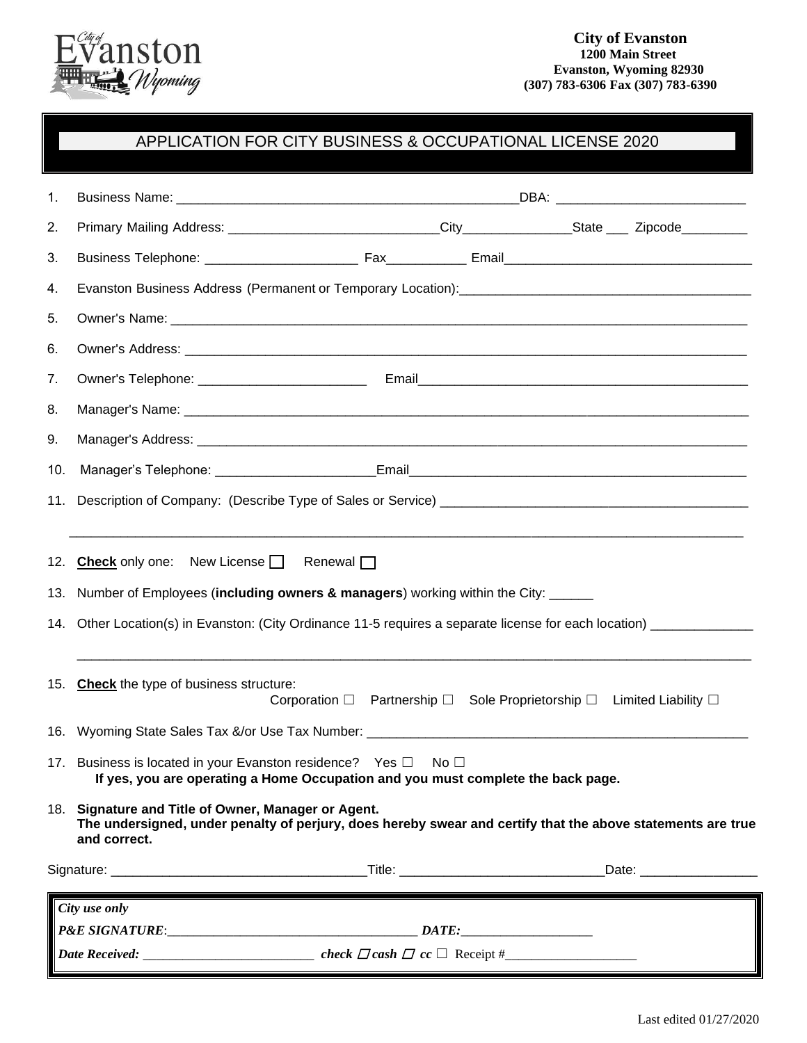

# APPLICATION FOR CITY BUSINESS & OCCUPATIONAL LICENSE 2022

| 1.            |                                                                                                                                                                                                                                      |  |  |  |  |
|---------------|--------------------------------------------------------------------------------------------------------------------------------------------------------------------------------------------------------------------------------------|--|--|--|--|
| 2.            |                                                                                                                                                                                                                                      |  |  |  |  |
| 3.            |                                                                                                                                                                                                                                      |  |  |  |  |
| 4.            | Evanston Business Physical Address (Permanent or Temporary Location): [1991] [2001] [2002] [2002] [2002] [2003                                                                                                                       |  |  |  |  |
| 5.            |                                                                                                                                                                                                                                      |  |  |  |  |
| 6.            | Owner's Address: <u>Committee Committee Committee Committee Committee Committee Committee Committee Committee Committee Committee Committee Committee Committee Committee Committee Committee Committee Committee Committee Comm</u> |  |  |  |  |
| 7.            |                                                                                                                                                                                                                                      |  |  |  |  |
| 8.            |                                                                                                                                                                                                                                      |  |  |  |  |
| 9.            |                                                                                                                                                                                                                                      |  |  |  |  |
| 10.           |                                                                                                                                                                                                                                      |  |  |  |  |
| 11.           |                                                                                                                                                                                                                                      |  |  |  |  |
|               |                                                                                                                                                                                                                                      |  |  |  |  |
|               | 12. Check only one: New License   Renewal                                                                                                                                                                                            |  |  |  |  |
|               | 13. Number of Employees (including owners & managers) working within the City: _____                                                                                                                                                 |  |  |  |  |
|               | 14. Other Location(s) in Evanston: (City Ordinance 11-5 requires a separate license for each location) ____________                                                                                                                  |  |  |  |  |
|               |                                                                                                                                                                                                                                      |  |  |  |  |
|               | 15. Check the type of business structure:                                                                                                                                                                                            |  |  |  |  |
|               | Corporation □ Partnership □ Sole Proprietorship □ Limited Liability □                                                                                                                                                                |  |  |  |  |
|               | 16. Wyoming State Sales Tax &/or Use Tax Number: _______________________________                                                                                                                                                     |  |  |  |  |
|               | 17. Business is located in your Evanston residence? Yes $\Box$ No $\Box$<br>If yes, you are operating a Home Occupation and you must complete the back page.                                                                         |  |  |  |  |
|               | 18. Signature and Title of Owner, Manager or Agent.                                                                                                                                                                                  |  |  |  |  |
|               | The undersigned, under penalty of perjury, does hereby swear and certify that the above statements are true<br>and correct.                                                                                                          |  |  |  |  |
|               |                                                                                                                                                                                                                                      |  |  |  |  |
| City use only |                                                                                                                                                                                                                                      |  |  |  |  |
|               |                                                                                                                                                                                                                                      |  |  |  |  |
|               |                                                                                                                                                                                                                                      |  |  |  |  |